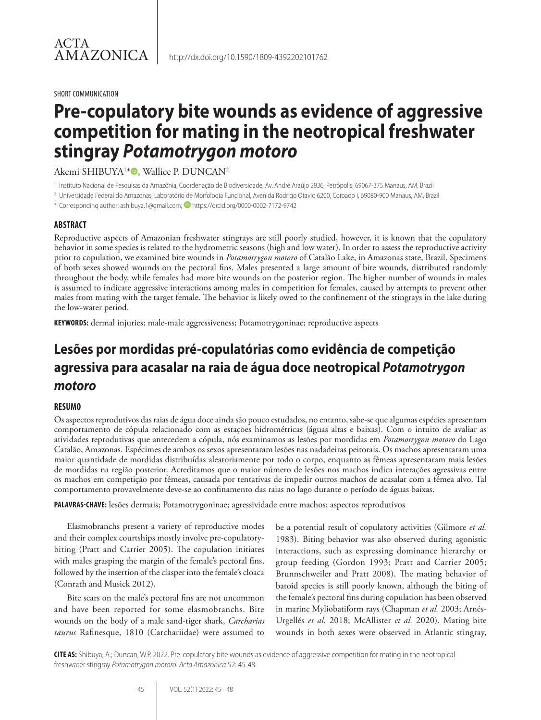#### SHORT COMMUNICATION

# **Pre-copulatory bite wounds as evidence of aggressive competition for mating in the neotropical freshwater stingray** *Potamotrygon motoro*

### Akemi SHIBUYA1\*®, Wallice P. DUNCAN<sup>2</sup>

<sup>1</sup> Instituto Nacional de Pesquisas da Amazônia, Coordenação de Biodiversidade, Av. André Araújo 2936, Petrópolis, 69067-375 Manaus, AM, Brazil

- <sup>2</sup> Universidade Federal do Amazonas, Laboratório de Morfologia Funcional, Avenida Rodrigo Otavio 6200, Coroado I, 69080-900 Manaus, AM, Brazil
- \* Corresponding author: ashibuya.1@gmail.com; https://orcid.org/0000-0002-7172-9742

### **ABSTRACT**

Reproductive aspects of Amazonian freshwater stingrays are still poorly studied, however, it is known that the copulatory behavior in some species is related to the hydrometric seasons (high and low water). In order to assess the reproductive activity prior to copulation, we examined bite wounds in *Potamotrygon motoro* of Catalão Lake, in Amazonas state, Brazil. Specimens of both sexes showed wounds on the pectoral fins. Males presented a large amount of bite wounds, distributed randomly throughout the body, while females had more bite wounds on the posterior region. The higher number of wounds in males is assumed to indicate aggressive interactions among males in competition for females, caused by attempts to prevent other males from mating with the target female. The behavior is likely owed to the confinement of the stingrays in the lake during the low-water period.

**KEYWORDS:** dermal injuries; male-male aggressiveness; Potamotrygoninae; reproductive aspects

## **Lesões por mordidas pré-copulatórias como evidência de competição agressiva para acasalar na raia de água doce neotropical** *Potamotrygon motoro*

### **RESUMO**

Os aspectos reprodutivos das raias de água doce ainda são pouco estudados, no entanto, sabe-se que algumas espécies apresentam comportamento de cópula relacionado com as estações hidrométricas (águas altas e baixas). Com o intuito de avaliar as atividades reprodutivas que antecedem a cópula, nós examinamos as lesões por mordidas em *Potamotrygon motoro* do Lago Catalão, Amazonas. Espécimes de ambos os sexos apresentaram lesões nas nadadeiras peitorais. Os machos apresentaram uma maior quantidade de mordidas distribuídas aleatoriamente por todo o corpo, enquanto as fêmeas apresentaram mais lesões de mordidas na região posterior. Acreditamos que o maior número de lesões nos machos indica interações agressivas entre os machos em competição por fêmeas, causada por tentativas de impedir outros machos de acasalar com a fêmea alvo. Tal comportamento provavelmente deve-se ao confinamento das raias no lago durante o período de águas baixas.

**PALAVRAS-CHAVE:** lesões dermais; Potamotrygoninae; agressividade entre machos; aspectos reprodutivos

Elasmobranchs present a variety of reproductive modes and their complex courtships mostly involve pre-copulatorybiting (Pratt and Carrier 2005). The copulation initiates with males grasping the margin of the female's pectoral fins, followed by the insertion of the clasper into the female's cloaca (Conrath and Musick 2012).

Bite scars on the male's pectoral fins are not uncommon and have been reported for some elasmobranchs. Bite wounds on the body of a male sand-tiger shark, *Carcharias taurus* Rafinesque, 1810 (Carchariidae) were assumed to

be a potential result of copulatory activities (Gilmore *et al.* 1983). Biting behavior was also observed during agonistic interactions, such as expressing dominance hierarchy or group feeding (Gordon 1993; Pratt and Carrier 2005; Brunnschweiler and Pratt 2008). The mating behavior of batoid species is still poorly known, although the biting of the female's pectoral fins during copulation has been observed in marine Myliobatiform rays (Chapman *et al.* 2003; Arnés-Urgellés *et al.* 2018; McAllister *et al.* 2020). Mating bite wounds in both sexes were observed in Atlantic stingray,

**CITE AS:** Shibuya, A.; Duncan, W.P. 2022. Pre-copulatory bite wounds as evidence of aggressive competition for mating in the neotropical freshwater stingray *Potamotrygon motoro*. *Acta Amazonica* 52: 45-48.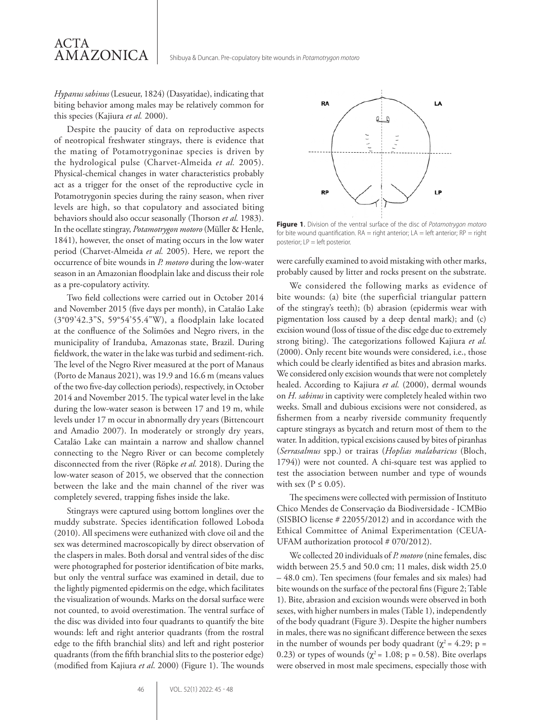*Hypanus sabinus* (Lesueur, 1824) (Dasyatidae), indicating that biting behavior among males may be relatively common for this species (Kajiura *et al.* 2000).

ACTA

AMAZONICA

Despite the paucity of data on reproductive aspects of neotropical freshwater stingrays, there is evidence that the mating of Potamotrygoninae species is driven by the hydrological pulse (Charvet-Almeida *et al.* 2005). Physical-chemical changes in water characteristics probably act as a trigger for the onset of the reproductive cycle in Potamotrygonin species during the rainy season, when river levels are high, so that copulatory and associated biting behaviors should also occur seasonally (Thorson *et al.* 1983). In the ocellate stingray, *Potamotrygon motoro* (Müller & Henle, 1841), however, the onset of mating occurs in the low water period (Charvet-Almeida *et al.* 2005). Here, we report the occurrence of bite wounds in *P. motoro* during the low-water season in an Amazonian floodplain lake and discuss their role as a pre-copulatory activity.

Two field collections were carried out in October 2014 and November 2015 (five days per month), in Catalão Lake (3°09'42.3"S, 59°54'55.4"W), a floodplain lake located at the confluence of the Solimões and Negro rivers, in the municipality of Iranduba, Amazonas state, Brazil. During fieldwork, the water in the lake was turbid and sediment-rich. The level of the Negro River measured at the port of Manaus (Porto de Manaus 2021), was 19.9 and 16.6 m (means values of the two five-day collection periods), respectively, in October 2014 and November 2015. The typical water level in the lake during the low-water season is between 17 and 19 m, while levels under 17 m occur in abnormally dry years (Bittencourt and Amadio 2007). In moderately or strongly dry years, Catalão Lake can maintain a narrow and shallow channel connecting to the Negro River or can become completely disconnected from the river (Röpke *et al.* 2018). During the low-water season of 2015, we observed that the connection between the lake and the main channel of the river was completely severed, trapping fishes inside the lake.

Stingrays were captured using bottom longlines over the muddy substrate. Species identification followed Loboda (2010). All specimens were euthanized with clove oil and the sex was determined macroscopically by direct observation of the claspers in males. Both dorsal and ventral sides of the disc were photographed for posterior identification of bite marks, but only the ventral surface was examined in detail, due to the lightly pigmented epidermis on the edge, which facilitates the visualization of wounds. Marks on the dorsal surface were not counted, to avoid overestimation. The ventral surface of the disc was divided into four quadrants to quantify the bite wounds: left and right anterior quadrants (from the rostral edge to the fifth branchial slits) and left and right posterior quadrants (from the fifth branchial slits to the posterior edge) (modified from Kajiura *et al*. 2000) (Figure 1). The wounds



**Figure 1**. Division of the ventral surface of the disc of *Potamotrygon motoro* for bite wound quantification.  $RA =$  right anterior;  $LA =$  left anterior;  $RP =$  right posterior; LP = left posterior.

were carefully examined to avoid mistaking with other marks, probably caused by litter and rocks present on the substrate.

We considered the following marks as evidence of bite wounds: (a) bite (the superficial triangular pattern of the stingray's teeth); (b) abrasion (epidermis wear with pigmentation loss caused by a deep dental mark); and (c) excision wound (loss of tissue of the disc edge due to extremely strong biting). The categorizations followed Kajiura *et al.* (2000). Only recent bite wounds were considered, i.e., those which could be clearly identified as bites and abrasion marks. We considered only excision wounds that were not completely healed. According to Kajiura *et al.* (2000), dermal wounds on *H. sabinus* in captivity were completely healed within two weeks. Small and dubious excisions were not considered, as fishermen from a nearby riverside community frequently capture stingrays as bycatch and return most of them to the water. In addition, typical excisions caused by bites of piranhas (*Serrasalmus* spp.) or trairas (*Hoplias malabaricus* (Bloch, 1794)) were not counted. A chi-square test was applied to test the association between number and type of wounds with sex ( $P \leq 0.05$ ).

The specimens were collected with permission of Instituto Chico Mendes de Conservação da Biodiversidade - ICMBio (SISBIO license # 22055/2012) and in accordance with the Ethical Committee of Animal Experimentation (CEUA-UFAM authorization protocol # 070/2012).

We collected 20 individuals of *P. motoro* (nine females, disc width between 25.5 and 50.0 cm; 11 males, disk width 25.0 – 48.0 cm). Ten specimens (four females and six males) had bite wounds on the surface of the pectoral fins (Figure 2; Table 1). Bite, abrasion and excision wounds were observed in both sexes, with higher numbers in males (Table 1), independently of the body quadrant (Figure 3). Despite the higher numbers in males, there was no significant difference between the sexes in the number of wounds per body quadrant ( $\chi^2$  = 4.29; p = 0.23) or types of wounds ( $\chi^2$  = 1.08; p = 0.58). Bite overlaps were observed in most male specimens, especially those with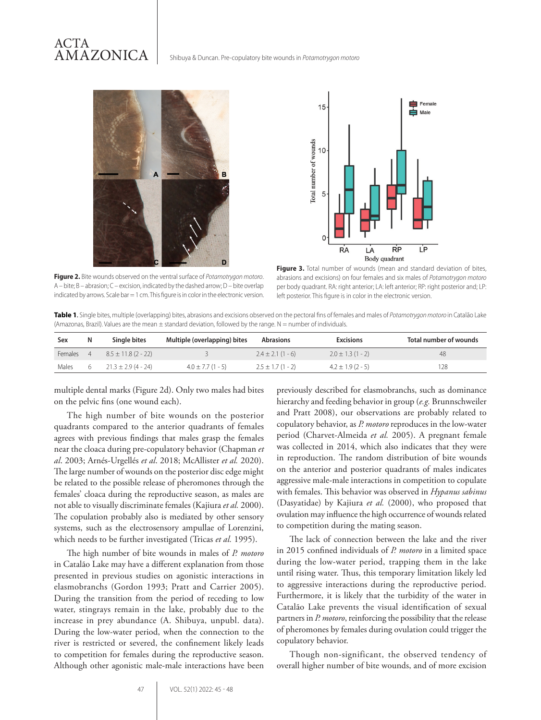### ACTA AMAZONICA

Shibuya & Duncan. Pre-copulatory bite wounds in *Potamotrygon motoro*



**Figure 2.** Bite wounds observed on the ventral surface of *Potamotrygon motoro*. A – bite; B – abrasion; C – excision, indicated by the dashed arrow; D – bite overlap



Figure 3. Total number of wounds (mean and standard deviation of bites, abrasions and excisions) on four females and six males of *Potamotrygon motoro*  per body quadrant. RA: right anterior; LA: left anterior; RP: right posterior and; LP: left posterior. This figure is in color in the electronic version.

**Table 1**. Single bites, multiple (overlapping) bites, abrasions and excisions observed on the pectoral fins of females and males of *Potamotrygon motoro* in Catalão Lake (Amazonas, Brazil). Values are the mean  $\pm$  standard deviation, followed by the range. N = number of individuals.

| Sex            | N | Single bites            | Multiple (overlapping) bites | <b>Abrasions</b>     | <b>Excisions</b>     | Total number of wounds |
|----------------|---|-------------------------|------------------------------|----------------------|----------------------|------------------------|
| <b>Females</b> |   | $8.5 \pm 11.8$ (2 - 22) |                              | $2.4 \pm 2.1(1 - 6)$ | $2.0 \pm 1.3(1 - 2)$ | 48                     |
| Males          |   | $21.3 \pm 2.9(4 - 24)$  | $4.0 \pm 7.7(1 - 5)$         | $2.5 \pm 1.7(1 - 2)$ | $4.2 \pm 1.9(2 - 5)$ | 128                    |

multiple dental marks (Figure 2d). Only two males had bites on the pelvic fins (one wound each).

indicated by arrows. Scale bar = 1 cm. This figure is in color in the electronic version.

The high number of bite wounds on the posterior quadrants compared to the anterior quadrants of females agrees with previous findings that males grasp the females near the cloaca during pre-copulatory behavior (Chapman *et al*. 2003; Arnés-Urgellés *et al*. 2018; McAllister *et al.* 2020). The large number of wounds on the posterior disc edge might be related to the possible release of pheromones through the females' cloaca during the reproductive season, as males are not able to visually discriminate females (Kajiura *et al.* 2000). The copulation probably also is mediated by other sensory systems, such as the electrosensory ampullae of Lorenzini, which needs to be further investigated (Tricas *et al.* 1995).

The high number of bite wounds in males of *P. motoro* in Catalão Lake may have a different explanation from those presented in previous studies on agonistic interactions in elasmobranchs (Gordon 1993; Pratt and Carrier 2005). During the transition from the period of receding to low water, stingrays remain in the lake, probably due to the increase in prey abundance (A. Shibuya, unpubl. data). During the low-water period, when the connection to the river is restricted or severed, the confinement likely leads to competition for females during the reproductive season. Although other agonistic male-male interactions have been previously described for elasmobranchs, such as dominance hierarchy and feeding behavior in group (*e.g.* Brunnschweiler and Pratt 2008), our observations are probably related to copulatory behavior, as *P. motoro* reproduces in the low-water period (Charvet-Almeida *et al.* 2005). A pregnant female was collected in 2014, which also indicates that they were in reproduction. The random distribution of bite wounds on the anterior and posterior quadrants of males indicates aggressive male-male interactions in competition to copulate with females. This behavior was observed in *Hypanus sabinus*  (Dasyatidae) by Kajiura *et al.* (2000), who proposed that ovulation may influence the high occurrence of wounds related to competition during the mating season.

The lack of connection between the lake and the river in 2015 confined individuals of *P. motoro* in a limited space during the low-water period, trapping them in the lake until rising water. Thus, this temporary limitation likely led to aggressive interactions during the reproductive period. Furthermore, it is likely that the turbidity of the water in Catalão Lake prevents the visual identification of sexual partners in *P. motoro*, reinforcing the possibility that the release of pheromones by females during ovulation could trigger the copulatory behavior.

Though non-significant, the observed tendency of overall higher number of bite wounds, and of more excision